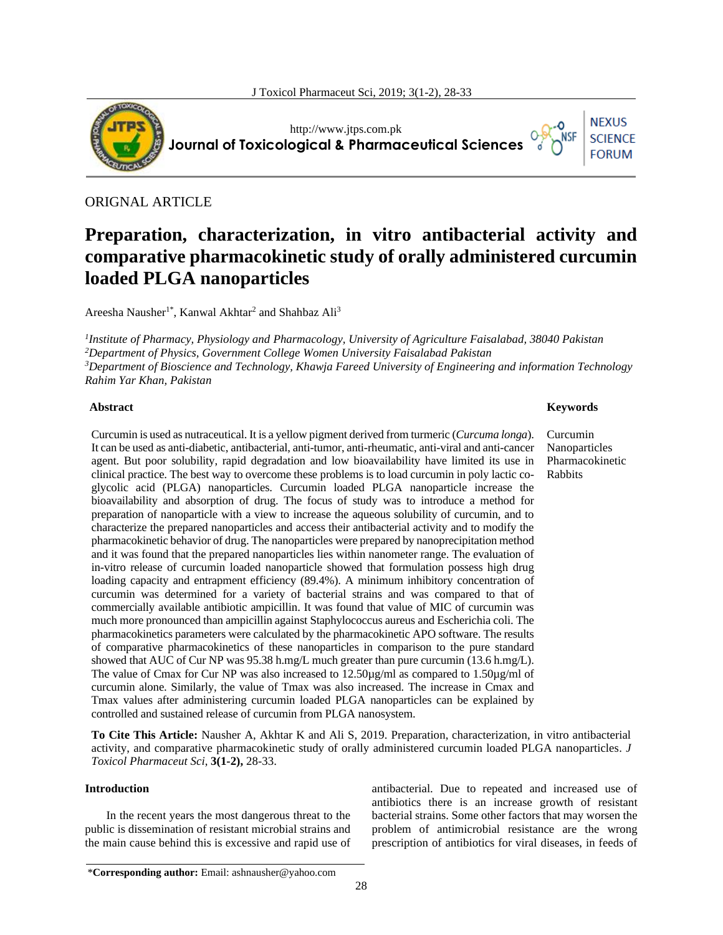

http://www.jtps.com.pk **Journal of Toxicological & Pharmaceutical Sciences**

# ORIGNAL ARTICLE

# **Preparation, characterization, in vitro antibacterial activity and comparative pharmacokinetic study of orally administered curcumin loaded PLGA nanoparticles**

Areesha Nausher<sup>1\*</sup>, Kanwal Akhtar<sup>2</sup> and Shahbaz Ali<sup>3</sup>

 *Institute of Pharmacy, Physiology and Pharmacology, University of Agriculture Faisalabad, 38040 Pakistan Department of Physics, Government College Women University Faisalabad Pakistan Department of Bioscience and Technology, Khawja Fareed University of Engineering and information Technology Rahim Yar Khan, Pakistan*

# **Abstract**

Curcumin is used as nutraceutical. It is a yellow pigment derived from turmeric (*Curcuma longa*). It can be used as anti-diabetic, antibacterial, anti-tumor, anti-rheumatic, anti-viral and anti-cancer agent. But poor solubility, rapid degradation and low bioavailability have limited its use in clinical practice. The best way to overcome these problems is to load curcumin in poly lactic coglycolic acid (PLGA) nanoparticles. Curcumin loaded PLGA nanoparticle increase the bioavailability and absorption of drug. The focus of study was to introduce a method for preparation of nanoparticle with a view to increase the aqueous solubility of curcumin, and to characterize the prepared nanoparticles and access their antibacterial activity and to modify the pharmacokinetic behavior of drug. The nanoparticles were prepared by nanoprecipitation method and it was found that the prepared nanoparticles lies within nanometer range. The evaluation of in-vitro release of curcumin loaded nanoparticle showed that formulation possess high drug loading capacity and entrapment efficiency (89.4%). A minimum inhibitory concentration of curcumin was determined for a variety of bacterial strains and was compared to that of commercially available antibiotic ampicillin. It was found that value of MIC of curcumin was much more pronounced than ampicillin against Staphylococcus aureus and Escherichia coli. The pharmacokinetics parameters were calculated by the pharmacokinetic APO software. The results of comparative pharmacokinetics of these nanoparticles in comparison to the pure standard showed that AUC of Cur NP was 95.38 h.mg/L much greater than pure curcumin (13.6 h.mg/L). The value of Cmax for Cur NP was also increased to 12.50µg/ml as compared to 1.50µg/ml of curcumin alone. Similarly, the value of Tmax was also increased. The increase in Cmax and Tmax values after administering curcumin loaded PLGA nanoparticles can be explained by controlled and sustained release of curcumin from PLGA nanosystem.

**To Cite This Article:** Nausher A, Akhtar K and Ali S, 2019. Preparation, characterization, in vitro antibacterial activity, and comparative pharmacokinetic study of orally administered curcumin loaded PLGA nanoparticles. *J Toxicol Pharmaceut Sci*, **3(1-2),** 28-33.

# **Introduction**

In the recent years the most dangerous threat to the public is dissemination of resistant microbial strains and the main cause behind this is excessive and rapid use of antibacterial. Due to repeated and increased use of antibiotics there is an increase growth of resistant bacterial strains. Some other factors that may worsen the problem of antimicrobial resistance are the wrong prescription of antibiotics for viral diseases, in feeds of

#### **Keywords**

Curcumin Nanoparticles Pharmacokinetic Rabbits

**NEXUS SCIENCE FORUM**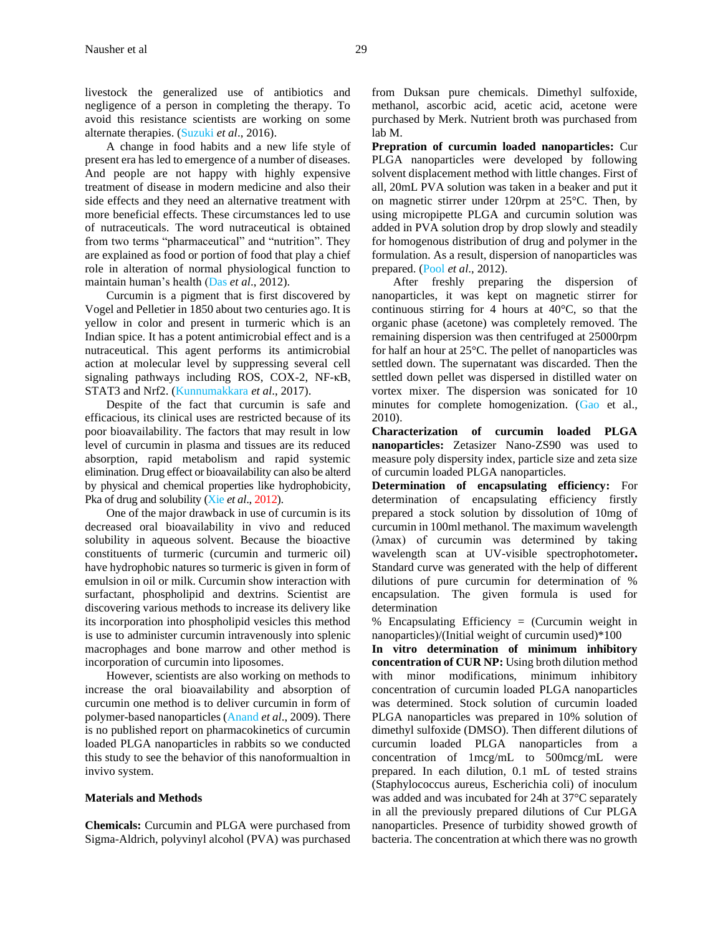livestock the generalized use of antibiotics and negligence of a person in completing the therapy. To avoid this resistance scientists are working on some alternate therapies. (Suzuki *et al*., 2016).

A change in food habits and a new life style of present era has led to emergence of a number of diseases. And people are not happy with highly expensive treatment of disease in modern medicine and also their side effects and they need an alternative treatment with more beneficial effects. These circumstances led to use of nutraceuticals. The word nutraceutical is obtained from two terms "pharmaceutical" and "nutrition". They are explained as food or portion of food that play a chief role in alteration of normal physiological function to maintain human's health (Das *et al*., 2012).

Curcumin is a pigment that is first discovered by Vogel and Pelletier in 1850 about two centuries ago. It is yellow in color and present in turmeric which is an Indian spice. It has a potent antimicrobial effect and is a nutraceutical. This agent performs its antimicrobial action at molecular level by suppressing several cell signaling pathways including ROS, COX-2, NF-κB, STAT3 and Nrf2. (Kunnumakkara *et al*., 2017).

Despite of the fact that curcumin is safe and efficacious, its clinical uses are restricted because of its poor bioavailability. The factors that may result in low level of curcumin in plasma and tissues are its reduced absorption, rapid metabolism and rapid systemic elimination. Drug effect or bioavailability can also be alterd by physical and chemical properties like hydrophobicity, Pka of drug and solubility (Xie *et al*., 2012).

One of the major drawback in use of curcumin is its decreased oral bioavailability in vivo and reduced solubility in aqueous solvent. Because the bioactive constituents of turmeric (curcumin and turmeric oil) have hydrophobic natures so turmeric is given in form of emulsion in oil or milk. Curcumin show interaction with surfactant, phospholipid and dextrins. Scientist are discovering various methods to increase its delivery like its incorporation into phospholipid vesicles this method is use to administer curcumin intravenously into splenic macrophages and bone marrow and other method is incorporation of curcumin into liposomes.

However, scientists are also working on methods to increase the oral bioavailability and absorption of curcumin one method is to deliver curcumin in form of polymer-based nanoparticles (Anand *et al*., 2009). There is no published report on pharmacokinetics of curcumin loaded PLGA nanoparticles in rabbits so we conducted this study to see the behavior of this nanoformualtion in invivo system.

# **Materials and Methods**

**Chemicals:** Curcumin and PLGA were purchased from Sigma-Aldrich, polyvinyl alcohol (PVA) was purchased from Duksan pure chemicals. Dimethyl sulfoxide, methanol, ascorbic acid, acetic acid, acetone were purchased by Merk. Nutrient broth was purchased from lab M.

**Prepration of curcumin loaded nanoparticles:** Cur PLGA nanoparticles were developed by following solvent displacement method with little changes. First of all, 20mL PVA solution was taken in a beaker and put it on magnetic stirrer under 120rpm at 25°C. Then, by using micropipette PLGA and curcumin solution was added in PVA solution drop by drop slowly and steadily for homogenous distribution of drug and polymer in the formulation. As a result, dispersion of nanoparticles was prepared. (Pool *et al*., 2012).

After freshly preparing the dispersion of nanoparticles, it was kept on magnetic stirrer for continuous stirring for 4 hours at 40°C, so that the organic phase (acetone) was completely removed. The remaining dispersion was then centrifuged at 25000rpm for half an hour at 25°C. The pellet of nanoparticles was settled down. The supernatant was discarded. Then the settled down pellet was dispersed in distilled water on vortex mixer. The dispersion was sonicated for 10 minutes for complete homogenization. (Gao et al., 2010).

**Characterization of curcumin loaded PLGA nanoparticles:** Zetasizer Nano-ZS90 was used to measure poly dispersity index, particle size and zeta size of curcumin loaded PLGA nanoparticles.

**Determination of encapsulating efficiency:** For determination of encapsulating efficiency firstly prepared a stock solution by dissolution of 10mg of curcumin in 100ml methanol. The maximum wavelength (λmax) of curcumin was determined by taking wavelength scan at UV-visible spectrophotometer**.** Standard curve was generated with the help of different dilutions of pure curcumin for determination of % encapsulation. The given formula is used for determination

% Encapsulating Efficiency = (Curcumin weight in nanoparticles)/(Initial weight of curcumin used)\*100

**In vitro determination of minimum inhibitory concentration of CUR NP:** Using broth dilution method with minor modifications, minimum inhibitory concentration of curcumin loaded PLGA nanoparticles was determined. Stock solution of curcumin loaded PLGA nanoparticles was prepared in 10% solution of dimethyl sulfoxide (DMSO). Then different dilutions of curcumin loaded PLGA nanoparticles from a concentration of 1mcg/mL to 500mcg/mL were prepared. In each dilution, 0.1 mL of tested strains (Staphylococcus aureus, Escherichia coli) of inoculum was added and was incubated for 24h at 37°C separately in all the previously prepared dilutions of Cur PLGA nanoparticles. Presence of turbidity showed growth of bacteria. The concentration at which there was no growth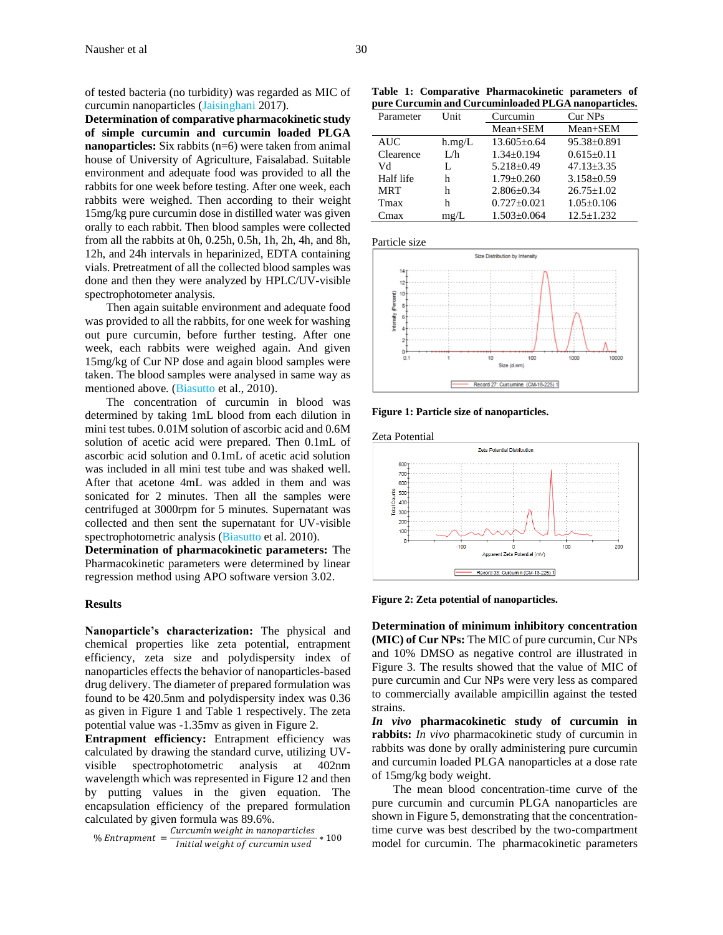of tested bacteria (no turbidity) was regarded as MIC of curcumin nanoparticles (Jaisinghani 2017).

**Determination of comparative pharmacokinetic study of simple curcumin and curcumin loaded PLGA nanoparticles:** Six rabbits (n=6) were taken from animal house of University of Agriculture, Faisalabad. Suitable environment and adequate food was provided to all the rabbits for one week before testing. After one week, each rabbits were weighed. Then according to their weight 15mg/kg pure curcumin dose in distilled water was given orally to each rabbit. Then blood samples were collected from all the rabbits at 0h, 0.25h, 0.5h, 1h, 2h, 4h, and 8h, 12h, and 24h intervals in heparinized, EDTA containing vials. Pretreatment of all the collected blood samples was done and then they were analyzed by HPLC/UV-visible spectrophotometer analysis.

Then again suitable environment and adequate food was provided to all the rabbits, for one week for washing out pure curcumin, before further testing. After one week, each rabbits were weighed again. And given 15mg/kg of Cur NP dose and again blood samples were taken. The blood samples were analysed in same way as mentioned above. (Biasutto et al., 2010).

The concentration of curcumin in blood was determined by taking 1mL blood from each dilution in mini test tubes. 0.01M solution of ascorbic acid and 0.6M solution of acetic acid were prepared. Then 0.1mL of ascorbic acid solution and 0.1mL of acetic acid solution was included in all mini test tube and was shaked well. After that acetone 4mL was added in them and was sonicated for 2 minutes. Then all the samples were centrifuged at 3000rpm for 5 minutes. Supernatant was collected and then sent the supernatant for UV-visible spectrophotometric analysis (Biasutto et al. 2010).

**Determination of pharmacokinetic parameters:** The Pharmacokinetic parameters were determined by linear regression method using APO software version 3.02.

#### **Results**

**Nanoparticle's characterization:** The physical and chemical properties like zeta potential, entrapment efficiency, zeta size and polydispersity index of nanoparticles effects the behavior of nanoparticles-based drug delivery. The diameter of prepared formulation was found to be 420.5nm and polydispersity index was 0.36 as given in Figure 1 and Table 1 respectively. The zeta potential value was -1.35mv as given in Figure 2.

**Entrapment efficiency:** Entrapment efficiency was calculated by drawing the standard curve, utilizing UVvisible spectrophotometric analysis at 402nm wavelength which was represented in Figure 12 and then by putting values in the given equation. The encapsulation efficiency of the prepared formulation calculated by given formula was 89.6%.

$$
\% Entrapment = \frac{Curcumin weight in nanoparticles}{Initial weight of curcumin used} * 100
$$

**Table 1: Comparative Pharmacokinetic parameters of pure Curcumin and Curcuminloaded PLGA nanoparticles.**

| Parameter  | Unit   | Curcumin          | Cur NPs           |
|------------|--------|-------------------|-------------------|
|            |        | Mean+SEM          | Mean+SEM          |
| <b>AUC</b> | h.mg/L | $13.605 \pm 0.64$ | $95.38 \pm 0.891$ |
| Clearence  | L/h    | $1.34 \pm 0.194$  | $0.615 \pm 0.11$  |
| Vd         | L      | $5.218 \pm 0.49$  | $47.13 + 3.35$    |
| Half life  | h      | $1.79 + 0.260$    | $3.158 \pm 0.59$  |
| <b>MRT</b> | h      | $2.806 + 0.34$    | $26.75 \pm 1.02$  |
| Tmax       | h      | $0.727 + 0.021$   | $1.05 \pm 0.106$  |
| Cmax       | mg/L   | $1.503 \pm 0.064$ | $12.5 + 1.232$    |

Particle size



**Figure 1: Particle size of nanoparticles.**



**Figure 2: Zeta potential of nanoparticles.**

**Determination of minimum inhibitory concentration (MIC) of Cur NPs:** The MIC of pure curcumin, Cur NPs and 10% DMSO as negative control are illustrated in Figure 3. The results showed that the value of MIC of pure curcumin and Cur NPs were very less as compared to commercially available ampicillin against the tested strains.

*In vivo* **pharmacokinetic study of curcumin in rabbits:** *In vivo* pharmacokinetic study of curcumin in rabbits was done by orally administering pure curcumin and curcumin loaded PLGA nanoparticles at a dose rate of 15mg/kg body weight.

The mean blood concentration-time curve of the pure curcumin and curcumin PLGA nanoparticles are shown in Figure 5, demonstrating that the concentrationtime curve was best described by the two-compartment model for curcumin. The pharmacokinetic parameters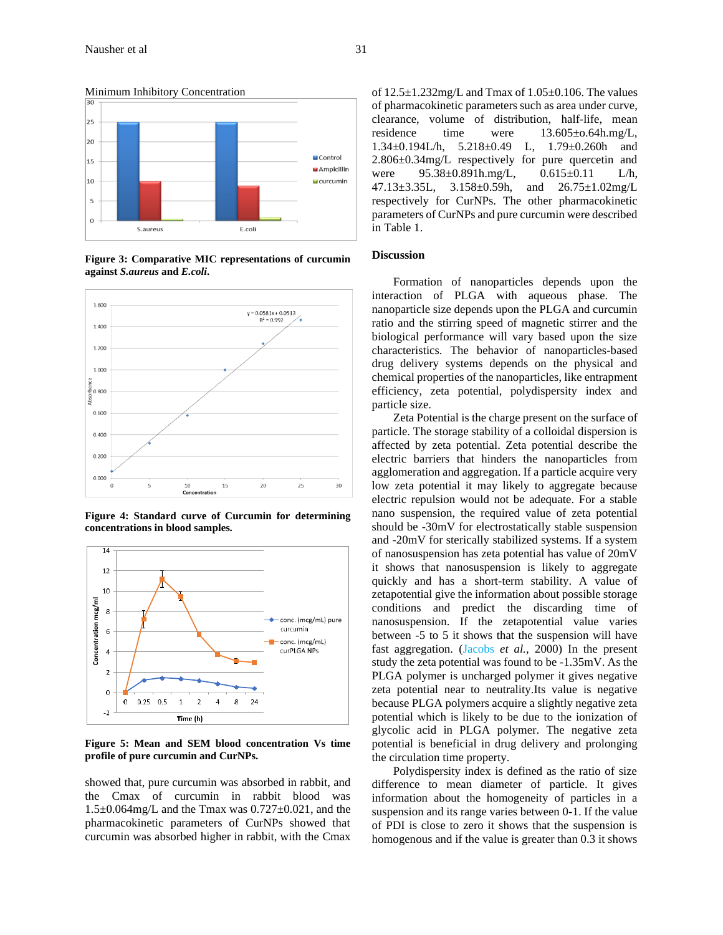

**Figure 3: Comparative MIC representations of curcumin against** *S.aureus* **and** *E.coli***.**



**Figure 4: Standard curve of Curcumin for determining concentrations in blood samples.**



**Figure 5: Mean and SEM blood concentration Vs time profile of pure curcumin and CurNPs.**

showed that, pure curcumin was absorbed in rabbit, and the Cmax of curcumin in rabbit blood was  $1.5\pm0.064$  mg/L and the Tmax was  $0.727\pm0.021$ , and the pharmacokinetic parameters of CurNPs showed that curcumin was absorbed higher in rabbit, with the Cmax

of 12.5±1.232mg/L and Tmax of 1.05±0.106. The values of pharmacokinetic parameters such as area under curve, clearance, volume of distribution, half-life, mean residence time were  $13.605\pm0.64h$ .mg/L, 1.34±0.194L/h, 5.218±0.49 L, 1.79±0.260h and 2.806±0.34mg/L respectively for pure quercetin and were 95.38±0.891h.mg/L, 0.615±0.11 L/h, 47.13±3.35L, 3.158±0.59h, and 26.75±1.02mg/L respectively for CurNPs. The other pharmacokinetic parameters of CurNPs and pure curcumin were described in Table 1.

#### **Discussion**

Formation of nanoparticles depends upon the interaction of PLGA with aqueous phase. The nanoparticle size depends upon the PLGA and curcumin ratio and the stirring speed of magnetic stirrer and the biological performance will vary based upon the size characteristics. The behavior of nanoparticles-based drug delivery systems depends on the physical and chemical properties of the nanoparticles, like entrapment efficiency, zeta potential, polydispersity index and particle size.

Zeta Potential is the charge present on the surface of particle. The storage stability of a colloidal dispersion is affected by zeta potential. Zeta potential describe the electric barriers that hinders the nanoparticles from agglomeration and aggregation. If a particle acquire very low zeta potential it may likely to aggregate because electric repulsion would not be adequate. For a stable nano suspension, the required value of zeta potential should be -30mV for electrostatically stable suspension and -20mV for sterically stabilized systems. If a system of nanosuspension has zeta potential has value of 20mV it shows that nanosuspension is likely to aggregate quickly and has a short-term stability. A value of zetapotential give the information about possible storage conditions and predict the discarding time of nanosuspension. If the zetapotential value varies between -5 to 5 it shows that the suspension will have fast aggregation. (Jacobs *et al.,* 2000) In the present study the zeta potential was found to be -1.35mV. As the PLGA polymer is uncharged polymer it gives negative zeta potential near to neutrality.Its value is negative because PLGA polymers acquire a slightly negative zeta potential which is likely to be due to the ionization of glycolic acid in PLGA polymer. The negative zeta potential is beneficial in drug delivery and prolonging the circulation time property.

Polydispersity index is defined as the ratio of size difference to mean diameter of particle. It gives information about the homogeneity of particles in a suspension and its range varies between 0-1. If the value of PDI is close to zero it shows that the suspension is homogenous and if the value is greater than 0.3 it shows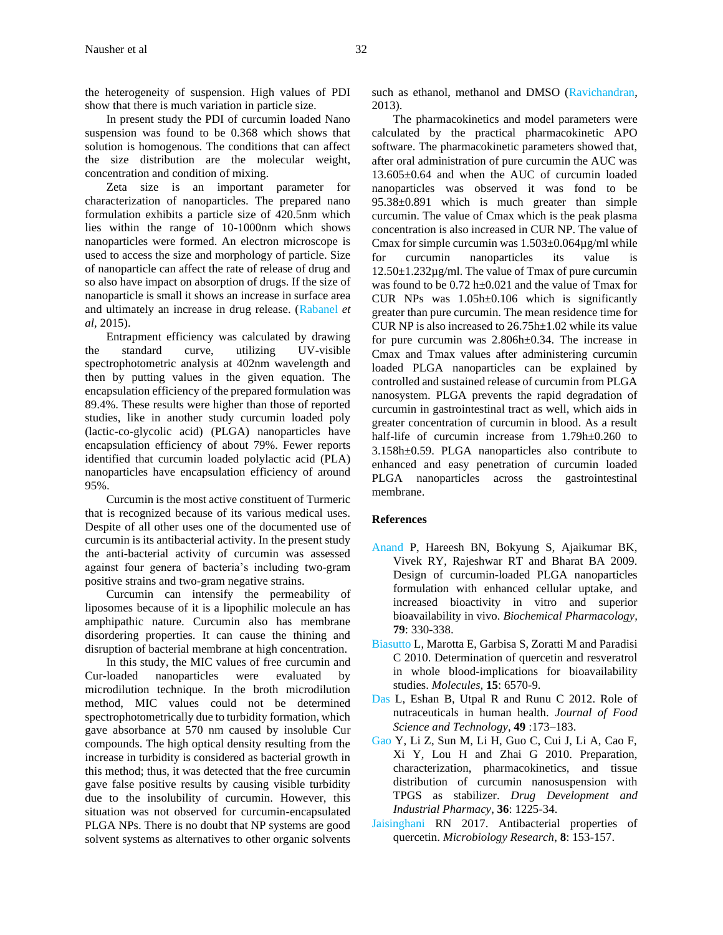the heterogeneity of suspension. High values of PDI show that there is much variation in particle size.

In present study the PDI of curcumin loaded Nano suspension was found to be 0.368 which shows that solution is homogenous. The conditions that can affect the size distribution are the molecular weight, concentration and condition of mixing.

Zeta size is an important parameter for characterization of nanoparticles. The prepared nano formulation exhibits a particle size of 420.5nm which lies within the range of 10-1000nm which shows nanoparticles were formed. An electron microscope is used to access the size and morphology of particle. Size of nanoparticle can affect the rate of release of drug and so also have impact on absorption of drugs. If the size of nanoparticle is small it shows an increase in surface area and ultimately an increase in drug release. (Rabanel *et al,* 2015).

Entrapment efficiency was calculated by drawing the standard curve, utilizing UV-visible spectrophotometric analysis at 402nm wavelength and then by putting values in the given equation. The encapsulation efficiency of the prepared formulation was 89.4%. These results were higher than those of reported studies, like in another study curcumin loaded poly (lactic-co-glycolic acid) (PLGA) nanoparticles have encapsulation efficiency of about 79%. Fewer reports identified that curcumin loaded polylactic acid (PLA) nanoparticles have encapsulation efficiency of around 95%.

Curcumin is the most active constituent of Turmeric that is recognized because of its various medical uses. Despite of all other uses one of the documented use of curcumin is its antibacterial activity. In the present study the anti-bacterial activity of curcumin was assessed against four genera of bacteria's including two-gram positive strains and two-gram negative strains.

Curcumin can intensify the permeability of liposomes because of it is a lipophilic molecule an has amphipathic nature. Curcumin also has membrane disordering properties. It can cause the thining and disruption of bacterial membrane at high concentration.

In this study, the MIC values of free curcumin and Cur-loaded nanoparticles were evaluated by microdilution technique. In the broth microdilution method, MIC values could not be determined spectrophotometrically due to turbidity formation, which gave absorbance at 570 nm caused by insoluble Cur compounds. The high optical density resulting from the increase in turbidity is considered as bacterial growth in this method; thus, it was detected that the free curcumin gave false positive results by causing visible turbidity due to the insolubility of curcumin. However, this situation was not observed for curcumin-encapsulated PLGA NPs. There is no doubt that NP systems are good solvent systems as alternatives to other organic solvents

such as ethanol, methanol and DMSO (Ravichandran, 2013).

The pharmacokinetics and model parameters were calculated by the practical pharmacokinetic APO software. The pharmacokinetic parameters showed that, after oral administration of pure curcumin the AUC was 13.605±0.64 and when the AUC of curcumin loaded nanoparticles was observed it was fond to be 95.38±0.891 which is much greater than simple curcumin. The value of Cmax which is the peak plasma concentration is also increased in CUR NP. The value of Cmax for simple curcumin was  $1.503\pm0.064\mu$ g/ml while for curcumin nanoparticles its value is  $12.50\pm1.232\mu$ g/ml. The value of Tmax of pure curcumin was found to be 0.72 h±0.021 and the value of Tmax for CUR NPs was 1.05h±0.106 which is significantly greater than pure curcumin. The mean residence time for CUR NP is also increased to 26.75h±1.02 while its value for pure curcumin was 2.806h±0.34. The increase in Cmax and Tmax values after administering curcumin loaded PLGA nanoparticles can be explained by controlled and sustained release of curcumin from PLGA nanosystem. PLGA prevents the rapid degradation of curcumin in gastrointestinal tract as well, which aids in greater concentration of curcumin in blood. As a result half-life of curcumin increase from 1.79h±0.260 to 3.158h±0.59. PLGA nanoparticles also contribute to enhanced and easy penetration of curcumin loaded PLGA nanoparticles across the gastrointestinal membrane.

# **References**

- Anand P, Hareesh BN, Bokyung S, Ajaikumar BK, Vivek RY, Rajeshwar RT and Bharat BA 2009. Design of curcumin-loaded PLGA nanoparticles formulation with enhanced cellular uptake, and increased bioactivity in vitro and superior bioavailability in vivo. *Biochemical Pharmacology,* **79**: 330-338.
- Biasutto L, Marotta E, Garbisa S, Zoratti M and Paradisi C 2010. Determination of quercetin and resveratrol in whole blood-implications for bioavailability studies. *Molecules,* **15**: 6570-9.
- Das L, Eshan B, Utpal R and Runu C 2012. Role of nutraceuticals in human health. *Journal of Food Science and Technology*, **49** :173–183.
- Gao Y, Li Z, Sun M, Li H, Guo C, Cui J, Li A, Cao F, Xi Y, Lou H and Zhai G 2010. Preparation, characterization, pharmacokinetics, and tissue distribution of curcumin nanosuspension with TPGS as stabilizer. *Drug Development and Industrial Pharmacy*, **36**: 1225-34.
- Jaisinghani RN 2017. Antibacterial properties of quercetin. *Microbiology Research*, **8**: 153-157.